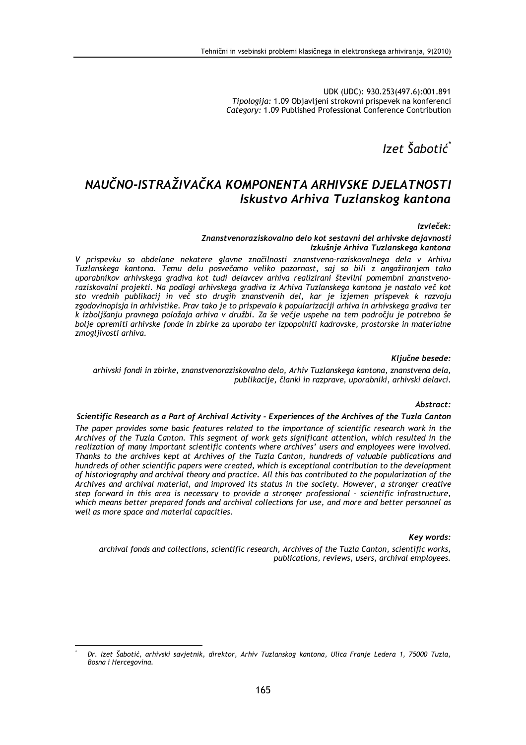UDK (UDC): 930.253(497.6):001.891 Tipologija: 1.09 Objavljeni strokovni prispevek na konferenci Category: 1.09 Published Professional Conference Contribution

Izet Šabotić

# NAUČNO-ISTRAŽIVAČKA KOMPONENTA ARHIVSKE DJELATNOSTI Iskustvo Arhiva Tuzlanskog kantona

## Izvleček:

## Znanstvenoraziskovalno delo kot sestavni del arhivske dejavnosti Izkušnje Arhiva Tuzlanskega kantona

V prispevku so obdelane nekatere glavne značilnosti znanstveno-raziskovalnega dela v Arhivu Tuzlanskega kantona. Temu delu posvečamo veliko pozornost, saj so bili z angažiranjem tako uporabnikov arhivskega gradiva kot tudi delavcev arhiva realizirani številni pomembni znanstvenoraziskovalni projekti. Na podlagi arhivskega gradiva iz Arhiva Tuzlanskega kantona je nastalo več kot sto vrednih publikacij in več sto drugih znanstvenih del, kar je izjemen prispevek k razvoju zgodovinopisja in arhivistike. Prav tako je to prispevalo k popularizaciji arhiva in arhivskega gradiva ter k izboljšanju pravnega položaja arhiva v družbi. Za še večje uspehe na tem področju je potrebno še bolje opremiti arhivske fonde in zbirke za uporabo ter izpopolniti kadrovske, prostorske in materialne zmogljivosti arhiva.

# Ključne besede:

## arhivski fondi in zbirke, znanstvenoraziskovalno delo, Arhiv Tuzlanskega kantona, znanstvena dela, publikacije, članki in razprave, uporabniki, arhivski delavci.

#### Abstract:

#### Scientific Research as a Part of Archival Activity - Experiences of the Archives of the Tuzla Canton

The paper provides some basic features related to the importance of scientific research work in the Archives of the Tuzla Canton. This segment of work gets significant attention, which resulted in the realization of many important scientific contents where archives' users and employees were involved. Thanks to the archives kept at Archives of the Tuzla Canton, hundreds of valuable publications and hundreds of other scientific papers were created, which is exceptional contribution to the development of historiography and archival theory and practice. All this has contributed to the popularization of the Archives and archival material, and improved its status in the society. However, a stronger creative step forward in this area is necessary to provide a stronger professional - scientific infrastructure, which means better prepared fonds and archival collections for use, and more and better personnel as well as more space and material capacities.

## Key words:

archival fonds and collections, scientific research, Archives of the Tuzla Canton, scientific works, publications, reviews, users, archival employees.

Dr. Izet Šabotić, arhivski savjetnik, direktor, Arhiv Tuzlanskog kantona, Ulica Franje Ledera 1, 75000 Tuzla, Bosna i Hercegovina.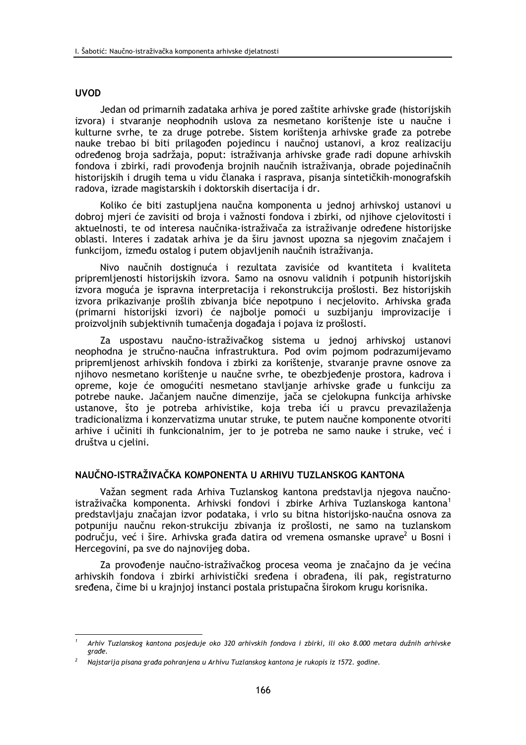# **UVOD**

Jedan od primarnih zadataka arhiva je pored zaštite arhivske građe (historijskih izvora) i stvaranje neophodnih uslova za nesmetano korištenje iste u naučne i kulturne svrhe, te za druge potrebe. Sistem korištenja arhivske građe za potrebe nauke trebao bi biti prilagođen pojedincu i naučnoj ustanovi, a kroz realizaciju određenog broja sadržaja, poput: istraživanja arhivske građe radi dopune arhivskih fondova i zbirki, radi provođenja brojnih naučnih istraživanja, obrade pojedinačnih historijskih i drugih tema u vidu članaka i rasprava, pisanja sintetičkih-monografskih radova, izrade magistarskih i doktorskih disertacija i dr.

Koliko će biti zastupljena naučna komponenta u jednoj arhivskoj ustanovi u dobroj mjeri će zavisiti od broja i važnosti fondova i zbirki, od njihove cjelovitosti i aktuelnosti, te od interesa naučnika-istraživača za istraživanje određene historijske oblasti. Interes i zadatak arhiva je da širu javnost upozna sa njegovim značajem i funkcijom, između ostalog i putem objavljenih naučnih istraživanja.

Nivo naučnih dostignuća i rezultata zavisiće od kvantiteta i kvaliteta pripremljenosti historijskih izvora. Samo na osnovu validnih i potpunih historijskih izvora moguća je ispravna interpretacija i rekonstrukcija prošlosti. Bez historijskih izvora prikazivanje prošlih zbivanja biće nepotpuno i necjelovito. Arhivska građa (primarni historijski izvori) će najbolje pomoći u suzbijanju improvizacije i proizvoljnih subjektivnih tumačenja događaja i pojava iz prošlosti.

Za uspostavu naučno-istraživačkog sistema u jednoj arhivskoj ustanovi neophodna je stručno-naučna infrastruktura. Pod ovim pojmom podrazumijevamo pripremljenost arhivskih fondova i zbirki za korištenje, stvaranje pravne osnove za njihovo nesmetano korištenje u naučne svrhe, te obezbjeđenje prostora, kadrova i opreme, koje će omogućiti nesmetano stavljanje arhivske građe u funkciju za potrebe nauke. Jačanjem naučne dimenzije, jača se cjelokupna funkcija arhivske ustanove, što je potreba arhivistike, koja treba ići u pravcu prevazilaženja tradicionalizma i konzervatizma unutar struke, te putem naučne komponente otvoriti arhive i učiniti ih funkcionalnim, jer to je potreba ne samo nauke i struke, već i društva u cielini.

# NALIČNO-ISTRAŽIVAČKA KOMPONENTA U ARHIVU TUZLANSKOG KANTONA

Važan segment rada Arhiva Tuzlanskog kantona predstavlja njegova naučnoistraživačka komponenta. Arhivski fondovi i zbirke Arhiva Tuzlanskoga kantona<sup>1</sup> predstavljaju značajan izvor podataka, i vrlo su bitna historijsko-naučna osnova za potpuniju naučnu rekon-strukciju zbivanja iz prošlosti, ne samo na tuzlanskom području, već i šire. Arhivska građa datira od vremena osmanske uprave<sup>2</sup> u Bosni i Hercegovini, pa sve do najnovijeg doba.

Za provođenje naučno-istraživačkog procesa veoma je značajno da je većina arhivskih fondova i zbirki arhivistički sređena i obrađena, ili pak, registraturno sređena, čime bi u krajnjoj instanci postala pristupačna širokom krugu korisnika.

Arhiv Tuzlanskog kantona posjeduje oko 320 arhivskih fondova i zbirki, ili oko 8.000 metara dužnih arhivske građe.

Najstarija pisana građa pohranjena u Arhivu Tuzlanskog kantona je rukopis iz 1572. godine.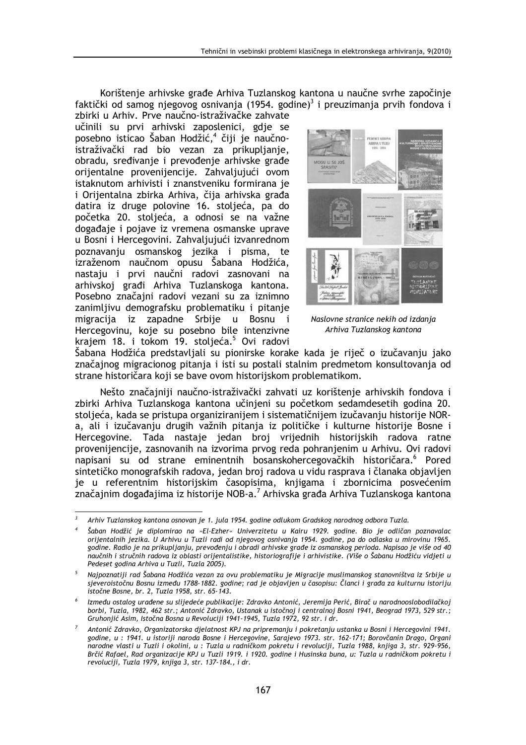Korištenje arhivske građe Arhiva Tuzlanskog kantona u naučne svrhe započinje faktički od samog njegovog osnivanja (1954. godine)<sup>3</sup> i preuzimanja prvih fondova i

zbirki u Arhiv. Prve naučno-istraživačke zahvate učinili su prvi arhivski zaposlenici, gdje se posebno isticao Šaban Hodžić,<sup>4</sup> čiji je naučnoistraživački rad bio vezan za prikupljanje, obradu, sređivanie i prevođenie arhivske građe orijentalne provenijencije. Zahvaljujući ovom istaknutom arhivisti i znanstveniku formirana je i Orijentalna zbirka Arhiva, čija arhivska građa datira iz druge polovine 16. stoljeća, pa do početka 20. stoljeća, a odnosi se na važne događaje i pojave iz vremena osmanske uprave u Bosni i Hercegovini. Zahvaljujući izvanrednom poznavanju osmanskog jezika i pisma, te izraženom naučnom opusu Šabana Hodžića, nastaju i prvi naučni radovi zasnovani na arhivskoj građi Arhiva Tuzlanskoga kantona. Posebno značajni radovi vezani su za iznimno zanimlijvu demografsku problematiku i pitanie migracija iz zapadne Srbije u Bosnu i Hercegovinu, koje su posebno bile intenzivne krajem 18. i tokom 19. stoljeća.<sup>5</sup> Ovi radovi



Naslovne stranice nekih od izdanja Arhiva Tuzlanskog kantona

Šabana Hodžića predstavljali su pionirske korake kada je riječ o izučavanju jako značajnog migracionog pitanja i isti su postali stalnim predmetom konsultovanja od strane historičara koji se bave ovom historijskom problematikom.

Nešto značajniji naučno-istraživački zahvati uz korištenje arhivskih fondova i zbirki Arhiva Tuzlanskoga kantona učinieni su početkom sedamdesetih godina 20. stoljeća, kada se pristupa organiziranijem i sistematičnijem izučavanju historije NORa, ali i izučavanju drugih važnih pitanja iz političke i kulturne historije Bosne i Hercegovine. Tada nastaje jedan broj vrijednih historijskih radova ratne provenijencije, zasnovanih na izvorima prvog reda pohranjenim u Arhivu. Ovi radovi napisani su od strane eminentnih bosanskohercegovačkih historičara.<sup>6</sup> Pored sintetičko monografskih radova, jedan broj radova u vidu rasprava i članaka objavljen je u referentnim historijskim časopisima, knjigama i zbornicima posvećenim značajnim događajima iz historije NOB-a.<sup>7</sup> Arhivska građa Arhiva Tuzlanskoga kantona

 $\overline{\phantom{a}}$ Arhiv Tuzlanskog kantona osnovan je 1. jula 1954. godine odlukom Gradskog narodnog odbora Tuzla.

Šaban Hodžić je diplomirao na »El-Ezher« Univerzitetu u Kairu 1929. godine. Bio je odličan poznavalac orijentalnih jezika. U Arhivu u Tuzli radi od njegovog osnivanja 1954. godine, pa do odlaska u mirovinu 1965. godine. Radio je na prikupljanju, prevođenju i obradi arhivske građe iz osmanskog perioda. Napisao je više od 40 naučnih i stručnih radova iz oblasti orijentalistike, historiografije i arhivistike. (Više o Šabanu Hodžiću vidjeti u Pedeset godina Arhiva u Tuzli, Tuzla 2005).

 $5<sup>5</sup>$ Najpoznatiji rad Šabana Hodžića vezan za ovu problematiku je Migracije muslimanskog stanovništva iz Srbije u sjeveroistočnu Bosnu između 1788-1882. godine; rad je objavljen u časopisu: Članci i građa za kulturnu istoriju istočne Bosne, br. 2, Tuzla 1958, str. 65-143.

Između ostalog urađene su slijedeće publikacije: Zdravko Antonić, Jeremija Perić, Birač u narodnooslobodilačkoj borbi, Tuzla, 1982, 462 str.; Antonić Zdravko, Ustanak u istočnoj i centralnoj Bosni 1941, Beograd 1973, 529 str.; Gruhoniić Asim, Istočna Bosna u Revoluciji 1941-1945, Tuzla 1972, 92 str. i dr.

Antonić Zdravko, Organizatorska djelatnost KPJ na pripremanju i pokretanju ustanka u Bosni i Hercegovini 1941. godine, u : 1941. u istoriji naroda Bosne i Hercegovine, Sarajevo 1973. str. 162-171; Borovčanin Drago, Organi narodne vlasti u Tuzli i okolini, u : Tuzla u radničkom pokretu i revoluciji, Tuzla 1988, knjiga 3, str. 929-956, Brčić Rafael, Rad organizacije KPJ u Tuzli 1919. i 1920. godine i Husinska buna, u: Tuzla u radničkom pokretu i revoluciji, Tuzla 1979, knjiga 3, str. 137-184., i dr.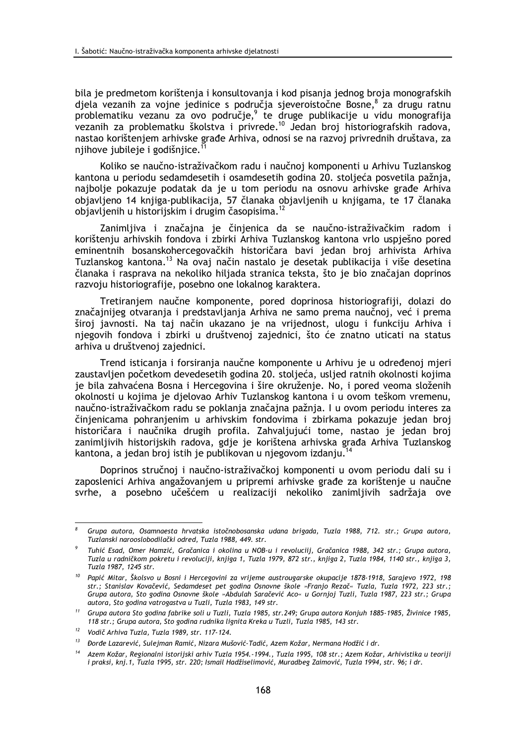bila je predmetom korištenja i konsultovanja i kod pisanja jednog broja monografskih djela vezanih za vojne jedinice s područja sjeveroistočne Bosne,<sup>8</sup> za drugu ratnu problematiku vezanu za ovo područje,<sup>9</sup> te druge publikacije u vidu monografija vezanih za problematku školstva i privrede.<sup>10</sup> Jedan broj historiografskih radova, nastao korištenjem arhivske građe Arhiva, odnosi se na razvoj privrednih društava, za njihove jubileje i godišnjice.

Koliko se naučno-istraživačkom radu i naučnoj komponenti u Arhivu Tuzlanskog kantona u periodu sedamdesetih i osamdesetih godina 20. stoljeća posvetila pažnja, najbolje pokazuje podatak da je u tom periodu na osnovu arhivske građe Arhiva objavljeno 14 knjiga-publikacija, 57 članaka objavljenih u knjigama, te 17 članaka objavljenih u historijskim i drugim časopisima.<sup>12</sup>

Zanimljiva i značajna je činjenica da se naučno-istraživačkim radom i korištenju arhivskih fondova i zbirki Arhiva Tuzlanskog kantona vrlo uspješno pored eminentnih bosanskohercegovačkih historičara bavi jedan broj arhivista Arhiva Tuzlanskog kantona.<sup>13</sup> Na ovaj način nastalo je desetak publikacija i više desetina članaka i rasprava na nekoliko hiljada stranica teksta, što je bio značajan doprinos razvoju historiografije, posebno one lokalnog karaktera.

Tretiranjem naučne komponente, pored doprinosa historiografiji, dolazi do značajnijeg otvaranja i predstavljanja Arhiva ne samo prema naučnoj, već i prema široj javnosti. Na taj način ukazano je na vrijednost, ulogu i funkciju Arhiva i njegovih fondova i zbirki u društvenoj zajednici, što će znatno uticati na status arhiva u društvenoj zajednici.

Trend isticanja i forsiranja naučne komponente u Arhivu je u određenoj mjeri zaustavljen početkom devedesetih godina 20. stoljeća, usljed ratnih okolnosti kojima je bila zahvaćena Bosna i Hercegovina i šire okruženie. No, i pored veoma složenih okolnosti u kojima je djelovao Arhiv Tuzlanskog kantona i u ovom teškom vremenu. naučno-istraživačkom radu se poklanja značajna pažnja. I u ovom periodu interes za činjenicama pohranjenim u arhivskim fondovima i zbirkama pokazuje jedan broj historičara i naučnika drugih profila. Zahvaljujući tome, nastao je jedan broj zanimljivih historijskih radova, gdje je korištena arhivska građa Arhiva Tuzlanskog kantona, a jedan broj istih je publikovan u njegovom izdanju.<sup>14</sup>

Doprinos stručnoj i naučno-istraživačkoj komponenti u ovom periodu dali su i zaposlenici Arhiva angažovanjem u pripremi arhivske građe za korištenje u naučne svrhe, a posebno učešćem u realizaciji nekoliko zanimljivih sadržaja ove

Grupa autora, Osamnaesta hrvatska istočnobosanska udana brigada, Tuzla 1988, 712. str.; Grupa autora, Tuzlanski narooslobodilački odred, Tuzla 1988, 449. str.

Tuhić Esad, Omer Hamzić, Gračanica i okolina u NOB-u i revoluciij, Gračanica 1988, 342 str.; Grupa autora, Tuzla u radničkom pokretu i revoluciji, knjiga 1, Tuzla 1979, 872 str., knjiga 2, Tuzla 1984, 1140 str., knjiga 3, Tuzla 1987, 1245 str.

<sup>&</sup>lt;sup>10</sup> Papić Mitar, Školsvo u Bosni i Hercegovini za vrijeme austrougarske okupacije 1878-1918, Sarajevo 1972, 198 str.; Stanislav Kovačević, Sedamdeset pet godina Osnovne škole »Franjo Rezač« Tuzla, Tuzla 1972, 223 str.; Grupa autora, Sto godina Osnovne škole »Abdulah Saračević Aco« u Gornjoj Tuzli, Tuzla 1987, 223 str.; Grupa autora, Sto godina vatrogastva u Tuzli, Tuzla 1983, 149 str.

<sup>&</sup>lt;sup>11</sup> Grupa autora Sto godina fabrike soli u Tuzli, Tuzla 1985, str.249; Grupa autora Konjuh 1885-1985, Živinice 1985, 118 str.; Grupa autora, Sto godina rudnika lignita Kreka u Tuzli, Tuzla 1985, 143 str.

 $12$ Vodič Arhiva Tuzla, Tuzla 1989, str. 117-124.

<sup>&</sup>lt;sup>13</sup> Đorđe Lazarević, Sulejman Ramić, Nizara Mušović-Tadić, Azem Kožar, Nermana Hodžić i dr.

 $14$ Azem Kožar, Regionalni istorijski arhiv Tuzla 1954.-1994., Tuzla 1995, 108 str.; Azem Kožar, Arhivistika u teoriji i praksi, knj. 1, Tuzla 1995, str. 220; Ismail Hadžiselimović, Muradbeg Zaimović, Tuzla 1994, str. 96; i dr.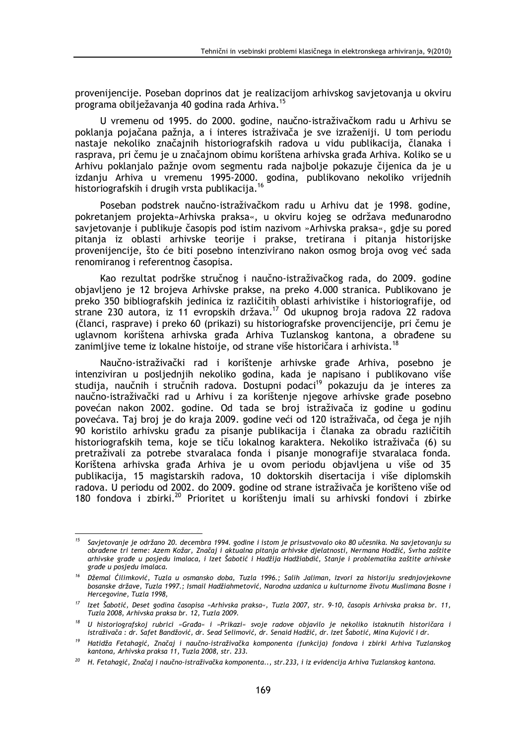provenijencije. Poseban doprinos dat je realizacijom arhivskog savjetovanja u okviru programa obilježavanja 40 godina rada Arhiva.<sup>15</sup>

U vremenu od 1995. do 2000. godine, naučno-istraživačkom radu u Arhivu se poklanja pojačana pažnja, a i interes istraživača je sve izraženiji. U tom periodu nastaje nekoliko značajnih historiografskih radova u vidu publikacija, članaka i rasprava, pri čemu je u značajnom obimu korištena arhivska građa Arhiva. Koliko se u Arhivu poklanjalo pažnje ovom segmentu rada najbolje pokazuje čijenica da je u izdanju Arhiva u vremenu 1995-2000. godina, publikovano nekoliko vrijednih historiografskih i drugih vrsta publikacija.<sup>16</sup>

Poseban podstrek naučno-istraživačkom radu u Arhivu dat je 1998. godine, pokretanjem projekta»Arhivska praksa«, u okviru kojeg se održava međunarodno savjetovanje i publikuje časopis pod istim nazivom »Arhivska praksa«, gdje su pored pitanja iz oblasti arhivske teorije i prakse, tretirana i pitanja historijske provenijencije, što će biti posebno intenzivirano nakon osmog broja ovog već sada renomiranog i referentnog časopisa.

Kao rezultat podrške stručnog i naučno-istraživačkog rada, do 2009. godine objavljeno je 12 brojeva Arhivske prakse, na preko 4.000 stranica. Publikovano je preko 350 bibliografskih jedinica iz različitih oblasti arhivistike i historiografije, od strane 230 autora, iz 11 evropskih država.<sup>17</sup> Od ukupnog broja radova 22 radova (članci, rasprave) i preko 60 (prikazi) su historiografske provencijencije, pri čemu je uglavnom korištena arhivska građa Arhiva Tuzlanskog kantona, a obrađene su zanimljive teme iz lokalne histoije, od strane više historičara i arhivista.<sup>18</sup>

Naučno-istraživački rad i korištenje arhivske građe Arhiva, posebno je intenziviran u posljednjih nekoliko godina, kada je napisano i publikovano više studija, naučnih i stručnih radova. Dostupni podaci<sup>19</sup> pokazuju da je interes za naučno-istraživački rad u Arhivu i za korištenie niegove arhivske građe posebno povećan nakon 2002. godine. Od tada se broj istraživača iz godine u godinu povećava. Taj broj je do kraja 2009. godine veći od 120 istraživača, od čega je nijh 90 koristilo arhivsku građu za pisanje publikacija i članaka za obradu različitih historiografskih tema, koje se tiču lokalnog karaktera. Nekoliko istraživača (6) su pretraživali za potrebe stvaralaca fonda i pisanje monografije stvaralaca fonda. Korištena arhivska građa Arhiva je u ovom periodu objavljena u više od 35 publikacija, 15 magistarskih radova, 10 doktorskih disertacija i više diplomskih radova. U periodu od 2002. do 2009. godine od strane istraživača je korišteno više od 180 fondova i zbirki.<sup>20</sup> Prioritet u korištenju imali su arhivski fondovi i zbirke

<sup>&</sup>lt;sup>15</sup> Savjetovanje je održano 20. decembra 1994. godine i istom je prisustvovalo oko 80 učesnika. Na savjetovanju su obrađene tri teme: Azem Kožar, Značaj i aktualna pitanja arhivske djelatnosti, Nermana Hodžić, Svrha zaštite arhivske građe u posjedu imalaca, i Izet Šabotić i Hadžija Hadžiabdić, Stanje i problematika zaštite arhivske građe u posjedu imalaca.

Džemal Ćilimković, Tuzla u osmansko doba, Tuzla 1996.; Salih Jaliman, Izvori za historiju srednjovjekovne bosanske države, Tuzla 1997.; Ismail Hadžiahmetović, Narodna uzdanica u kulturnome životu Muslimana Bosne i Hercegovine, Tuzla 1998.

<sup>&</sup>lt;sup>17</sup> lzet Šabotić, Deset godina časopisa »Arhivska praksa«, Tuzla 2007, str. 9-10, časopis Arhivska praksa br. 11, Tuzla 2008, Arhivska praksa br. 12, Tuzla 2009.

<sup>&</sup>lt;sup>18</sup> U historiografskoj rubrici »Građa« i »Prikazi« svoje radove objavilo je nekoliko istaknutih historičara i istraživača : dr. Safet Bandžović, dr. Sead Selimović, dr. Senaid Hadžić, dr. Izet Šabotić, Mina Kujović i dr.

<sup>&</sup>lt;sup>19</sup> Hatidža Fetahagić, Značaj i naučno-istraživačka komponenta (funkcija) fondova i zbirki Arhiva Tuzlanskog kantona, Arhivska praksa 11, Tuzla 2008, str. 233.

 $^{20}$  H. Fetahagić, Značaj i naučno-istraživačka komponenta.., str.233, i iz evidencija Arhiva Tuzlanskog kantona.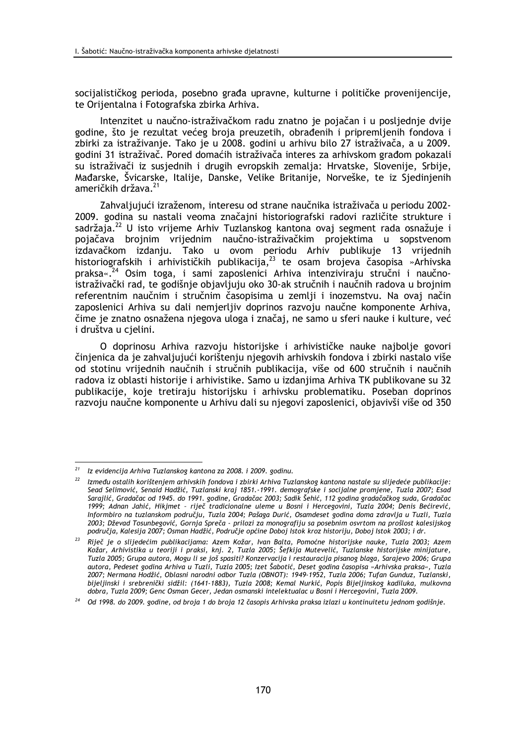socijalističkog perioda, posebno građa upravne, kulturne i političke provenijencije, te Orijentalna i Fotografska zbirka Arhiva.

Intenzitet u naučno-istraživačkom radu znatno je pojačan i u posljednje dvije godine, što je rezultat većeg broja preuzetih, obrađenih i pripremljenih fondova i zbirki za istraživanje. Tako je u 2008. godini u arhivu bilo 27 istraživača, a u 2009. godini 31 istraživač. Pored domaćih istraživača interes za arhivskom građom pokazali su istraživači iz susjednih i drugih evropskih zemalja: Hrvatske, Slovenije, Srbije, Mađarske, Švicarske, Italije, Danske, Velike Britanije, Norveške, te iz Sjedinjenih američkih država.<sup>21</sup>

Zahvaljujući izraženom, interesu od strane naučnika istraživača u periodu 2002-2009. godina su nastali veoma značajni historiografski radovi različite strukture i sadržaja.<sup>22</sup> U isto vrijeme Arhiv Tuzlanskog kantona ovaj segment rada osnažuje i pojačava brojnim vrijednim naučno-istraživačkim projektima u sopstvenom izdavačkom izdanju. Tako u ovom periodu Arhiv publikuje 13 vrijednih historiografskih i arhivističkih publikacija,<sup>23</sup> te osam brojeva časopisa »Arhivska praksa«.<sup>24</sup> Osim toga, i sami zaposlenici Arhiva intenziviraju stručni i naučnoistraživački rad, te godišnje objavljuju oko 30-ak stručnih i naučnih radova u brojnim referentnim naučnim i stručnim časopisima u zemlji i inozemstvu. Na ovaj način zaposlenici Arhiva su dali nemjerljiv doprinos razvoju naučne komponente Arhiva, čime je znatno osnažena njegova uloga i značaj, ne samo u sferi nauke i kulture, već i društva u cielini.

O doprinosu Arhiva razvoju historijske i arhivističke nauke najbolje govori činjenica da je zahvaljujući korištenju njegovih arhivskih fondova i zbirki nastalo više od stotinu vrijednih naučnih i stručnih publikacija, više od 600 stručnih i naučnih radova iz oblasti historije i arhivistike. Samo u izdanjima Arhiva TK publikovane su 32 publikacije, koje tretiraju historijsku i arhivsku problematiku. Poseban doprinos razvoju naučne komponente u Arhivu dali su njegovi zaposlenici, objavivši više od 350

 $21$  Iz evidencija Arhiva Tuzlanskog kantona za 2008. i 2009. godinu.

 $22$  Između ostalih korištenjem arhivskih fondova i zbirki Arhiva Tuzlanskog kantona nastale su slijedeće publikacije: Sead Selimović, Senaid Hadžić, Tuzlanski kraj 1851.-1991. demografske i socijalne promjene, Tuzla 2007; Esad Sarajlić, Gradačac od 1945. do 1991. godine, Gradačac 2003; Sadik Šehić, 112 godina gradačačkog suda, Gradačac 1999; Adnan Jahić, Hikjmet - riječ tradicionalne uleme u Bosni i Hercegovini, Tuzla 2004; Denis Bećirević, Informbiro na tuzlanskom području, Tuzla 2004; Pašaga Durić, Osamdeset godina doma zdravlja u Tuzli, Tuzla 2003; Dževad Tosunbegović, Gornja Spreča - prilozi za monografiju sa posebnim osvrtom na prošlost kalesijskog područja, Kalesija 2007; Osman Hadžić, Područje općine Doboj Istok kroz historiju, Doboj Istok 2003; i dr.

<sup>&</sup>lt;sup>23</sup> Riječ je o slijedećim publikacijama: Azem Kožar, Ivan Balta, Pomoćne historijske nauke, Tuzla 2003; Azem Kožar, Arhivistika u teoriji i praksi, knj. 2, Tuzla 2005; Šefkija Mutevelić, Tuzlanske historijske minijature, Tuzla 2005; Grupa autora, Mogu li se još spasiti? Konzervacija i restauracija pisanog blaga, Sarajevo 2006; Grupa autora, Pedeset godina Arhiva u Tuzli, Tuzla 2005; Izet Šabotić, Deset godina časopisa »Arhivska praksa«, Tuzla 2007; Nermana Hodžić, Oblasni narodni odbor Tuzla (OBNOT): 1949-1952, Tuzla 2006; Tufan Gunduz, Tuzlanski, bijeljinski i srebrenički sidžil: (1641-1883), Tuzla 2008; Kemal Nurkić, Popis Bijeljinskog kadiluka, mulkovna dobra, Tuzla 2009; Genc Osman Gecer, Jedan osmanski intelektualac u Bosni i Hercegovini, Tuzla 2009.

Od 1998. do 2009. godine, od broja 1 do broja 12 časopis Arhivska praksa izlazi u kontinuitetu jednom godišnje.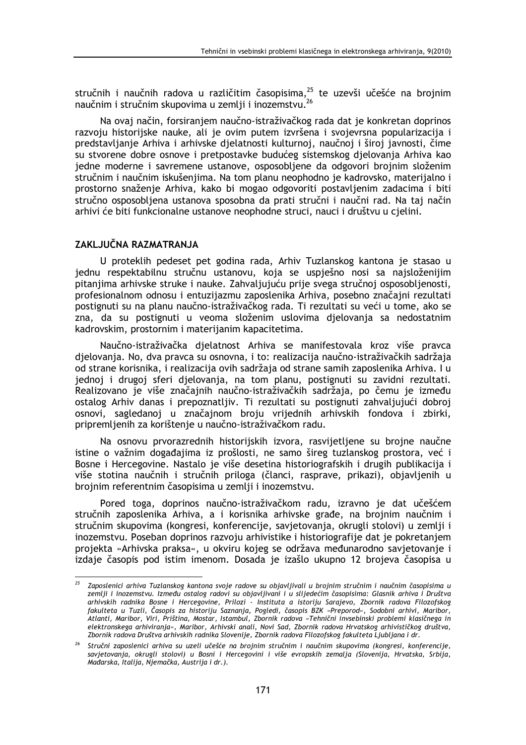stručnih i naučnih radova u različitim časopisima,<sup>25</sup> te uzevši učešće na brojnim naučnim i stručnim skupovima u zemlij i inozemstvu.

Na ovaj način, forsiranjem naučno-istraživačkog rada dat je konkretan doprinos razvoju historijske nauke, ali je ovim putem izvršena i svojevrsna popularizacija i predstavljanje Arhiva i arhivske djelatnosti kulturnoj, naučnoj i široj javnosti, čime su stvorene dobre osnove i pretpostavke budućeg sistemskog djelovanja Arhiva kao jedne moderne i savremene ustanove, osposobljene da odgovori brojnim složenim stručnim i naučnim iskušenjima. Na tom planu neophodno je kadrovsko, materijalno i prostorno snaženje Arhiva, kako bi mogao odgovoriti postavljenim zadacima i biti stručno osposobljena ustanova sposobna da prati stručni i naučni rad. Na taj način arhivi će biti funkcionalne ustanove neophodne struci, nauci i društvu u cjelini.

# ZAKLJUČNA RAZMATRANJA

U proteklih pedeset pet godina rada, Arhiv Tuzlanskog kantona je stasao u jednu respektabilnu stručnu ustanovu, koja se uspješno nosi sa najsloženijim pitanjima arhivske struke i nauke. Zahvaljujuću prije svega stručnoj osposobljenosti, profesionalnom odnosu i entuzijazmu zaposlenika Arhiva, posebno značajni rezultati postignuti su na planu naučno-istraživačkog rada. Ti rezultati su veći u tome, ako se zna, da su postignuti u veoma složenim uslovima djelovanja sa nedostatnim kadrovskim, prostornim i materijanim kapacitetima.

Naučno-istraživačka djelatnost Arhiva se manifestovala kroz više pravca djelovanja. No, dva pravca su osnovna, i to: realizacija naučno-istraživačkih sadržaja od strane korisnika, i realizacija ovih sadržaja od strane samih zaposlenika Arhiva. I u jednoj i drugoj sferi djelovanja, na tom planu, postignuti su zavidni rezultati. Realizovano je više značajnih naučno-istraživačkih sadržaja, po čemu je između ostalog Arhiv danas i prepoznatljiv. Ti rezultati su postignuti zahvaljujući dobroj osnovi, sagledanoj u značajnom broju vrijednih arhivskih fondova i zbirki. pripremljenih za korištenie u naučno-istraživačkom radu.

Na osnovu prvorazrednih historijskih izvora, rasvijetljene su brojne naučne istine o važnim događajima iz prošlosti, ne samo šireg tuzlanskog prostora, već i Bosne i Hercegovine. Nastalo je više desetina historiografskih i drugih publikacija i više stotina naučnih i stručnih priloga (članci, rasprave, prikazi), objavljenih u brojnim referentnim časopisima u zemlji i inozemstvu.

Pored toga, doprinos naučno-istraživačkom radu, izravno je dat učešćem stručnih zaposlenika Arhiva, a i korisnika arhivske građe, na brojnim naučnim i stručnim skupovima (kongresi, konferencije, savjetovanja, okrugli stolovi) u zemlji i inozemstvu. Poseban doprinos razvoju arhivistike i historiografije dat je pokretanjem projekta »Arhivska praksa«, u okviru kojeg se održava međunarodno savjetovanje i izdaje časopis pod istim imenom. Dosada je izašlo ukupno 12 brojeva časopisa u

<sup>&</sup>lt;sup>25</sup> Zaposlenici arhiva Tuzlanskog kantona svoje radove su objavljivali u brojnim stručnim i naučnim časopisima u zemlji i inozemstvu. Između ostalog radovi su objavljivani i u slijedećim časopisima: Glasnik arhiva i Društva arhivskih radnika Bosne i Hercegovine, Prilozi - Instituta a istoriju Sarajevo, Zbornik radova Filozofskog fakulteta u Tuzli, Časopis za historiju Saznanja, Pogledi, časopis BZK »Preporod«, Sodobni arhivi, Maribor, Atlanti, Maribor, Viri, Priština, Mostar, Istambul, Zbornik radova »Tehnični invsebinski problemi klasičnega in elektronskega arhiviranja«, Maribor, Arhivski anali, Novi Sad, Zbornik radova Hrvatskog arhivističkog društva, Zbornik radova Društva arhivskih radnika Slovenije, Zbornik radova Filozofskog fakulteta Ljubljana i dr.

<sup>26</sup> Stručni zaposlenici arhiva su uzeli učešće na brojnim stručnim i naučnim skupovima (kongresi, konferencije, savjetovanja, okrugli stolovi) u Bosni i Hercegovini i više evropskih zemalja (Slovenija, Hrvatska, Srbija, Mađarska, Italija, Njemačka, Austrija i dr.).